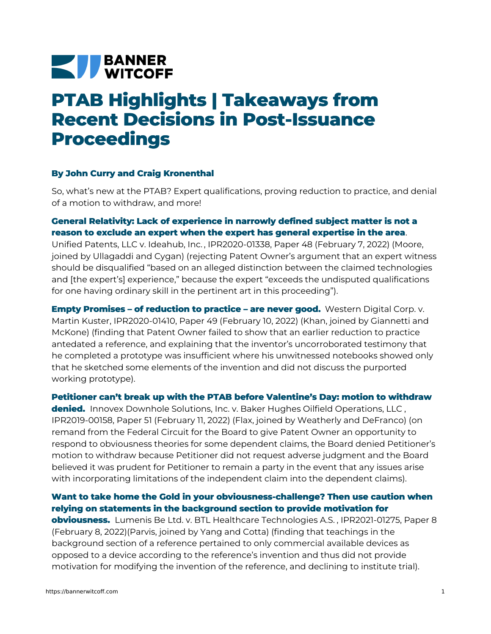# **NEW BANNER**

# **PTAB Highlights | Takeaways from Recent Decisions in Post-Issuance Proceedings**

#### **By John Curry and Craig Kronenthal**

So, what's new at the PTAB? Expert qualifications, proving reduction to practice, and denial of a motion to withdraw, and more!

## **General Relativity: Lack of experience in narrowly defined subject matter is not a reason to exclude an expert when the expert has general expertise in the area**.

Unified Patents, LLC v. [Ideahub,](https://bannerwitcoff.com/wp-content/uploads/2022/02/IPR2020-01338.pdf) Inc. , IPR2020-01338, Paper 48 (February 7, 2022) (Moore, joined by Ullagaddi and Cygan) (rejecting Patent Owner's argument that an expert witness should be disqualified "based on an alleged distinction between the claimed technologies and [the expert's] experience," because the expert "exceeds the undisputed qualifications for one having ordinary skill in the pertinent art in this proceeding").

**Empty Promises – of reduction to practice – are never good.** Western Digital Corp. v. Martin Kuster, [IPR2020-01410,](https://bannerwitcoff.com/wp-content/uploads/2022/02/IPR2020-01410.pdf) Paper 49 (February 10, 2022) (Khan, joined by Giannetti and McKone) (finding that Patent Owner failed to show that an earlier reduction to practice antedated a reference, and explaining that the inventor's uncorroborated testimony that he completed a prototype was insufficient where his unwitnessed notebooks showed only that he sketched some elements of the invention and did not discuss the purported working prototype).

**Petitioner can't break up with the PTAB before Valentine's Day: motion to withdraw**

**denied.** Innovex Downhole Solutions, Inc. v. Baker Hughes Oilfield [Operations,](https://bannerwitcoff.com/wp-content/uploads/2022/02/IPR2019-00158.pdf) LLC , IPR2019-00158, Paper 51 (February 11, 2022) (Flax, joined by Weatherly and DeFranco) (on remand from the Federal Circuit for the Board to give Patent Owner an opportunity to respond to obviousness theories for some dependent claims, the Board denied Petitioner's motion to withdraw because Petitioner did not request adverse judgment and the Board believed it was prudent for Petitioner to remain a party in the event that any issues arise with incorporating limitations of the independent claim into the dependent claims).

#### **Want to take home the Gold in your obviousness-challenge? Then use caution when relying on statements in the background section to provide motivation for**

**obviousness.** Lumenis Be Ltd. v. BTL Healthcare [Technologies](https://bannerwitcoff.com/wp-content/uploads/2022/02/IPR2021-01275.pdf) A.S. , IPR2021-01275, Paper 8 (February 8, 2022)(Parvis, joined by Yang and Cotta) (finding that teachings in the background section of a reference pertained to only commercial available devices as opposed to a device according to the reference's invention and thus did not provide motivation for modifying the invention of the reference, and declining to institute trial).